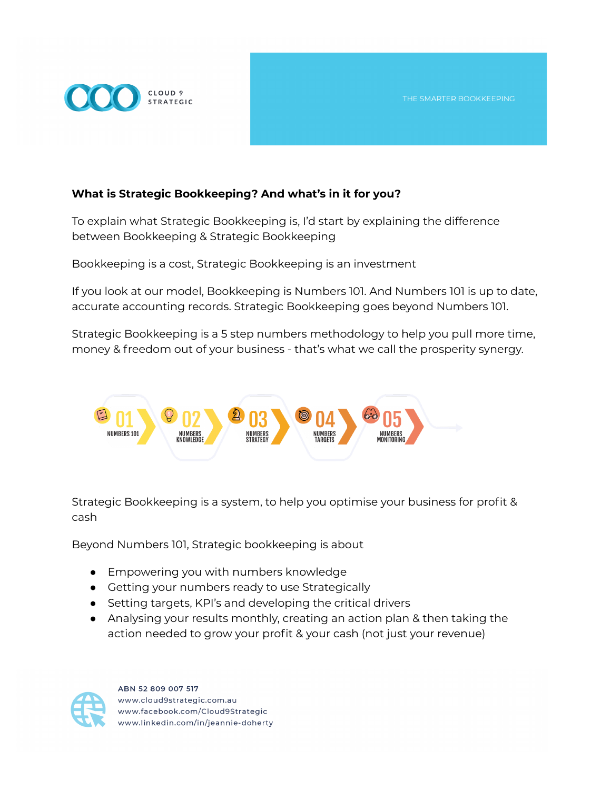## **What is Strategic Bookkeeping? And what's in it for you?**

To explain what Strategic Bookkeeping is, I'd start by explaining the difference between Bookkeeping & Strategic Bookkeeping

Bookkeeping is a cost, Strategic Bookkeeping is an investment

If you look at our model, Bookkeeping is Numbers 101. And Numbers 101 is up to date, accurate accounting records. Strategic Bookkeeping goes beyond Numbers 101.

Strategic Bookkeeping is a 5 step numbers methodology to help you pull more time, money & freedom out of your business - that's what we call the prosperity synergy.



Strategic Bookkeeping is a system, to help you optimise your business for profit & cash

Beyond Numbers 101, Strategic bookkeeping is about

- Empowering you with numbers knowledge
- Getting your numbers ready to use Strategically
- Setting targets, KPI's and developing the critical drivers
- Analysing your results monthly, creating an action plan & then taking the action needed to grow your profit & your cash (not just your revenue)



ABN 52 809 007 517 www.cloud9strategic.com.au www.facebook.com/Cloud9Strategic www.linkedin.com/in/jeannie-doherty